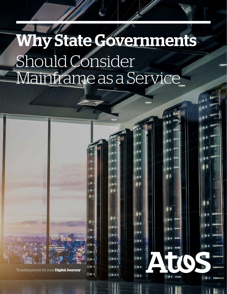# Why State Governments Should Consider Mainframe as a Service

Trusted partner for your **Digital Journey**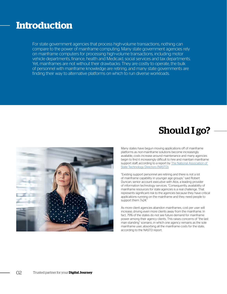#### **Introduction**

For state government agencies that process high-volume transactions, nothing can compare to the power of mainframe computing. Many state government agencies rely on mainframe computers for processing high-volume transactions, including motor vehicle departments, finance, health and Medicaid, social services and tax departments. Yet, mainframes are not without their drawbacks: They are costly to operate, the bulk of personnel with mainframe knowledge are retiring, and many state governments are finding their way to alternative platforms on which to run diverse workloads.

### Should I go?



Many states have begun moving applications off of mainframe platforms as non-mainframe solutions become increasingly available, costs increase around maintenance and many agencies begin to find it increasingly difficult to hire and maintain mainframe support staff, according to a report by The National Association of [State Technology Directors \(NASTD\)](https://higherlogicdownload.s3.amazonaws.com/NASTD/5d6c1d2a-df06-4b31-bf05-51026be46366/UploadedImages/2018_NASTD_State_Mainframe_Strategy_Survey.pdf).

"Existing support personnel are retiring and there is not a lot of mainframe capability in younger age groups," said Robert Duncan, senior account executive with Atos, a leading provider of information technology services. "Consequently, availability of mainframe resources for state agencies is a real challenge. That represents significant risk to the agencies because they have critical applications running on the mainframe and they need people to support them 7x24."

As more client agencies abandon mainframes, cost per user will increase, driving even more clients away from the mainframe. In fact, 79% of the states do not see future demand for mainframe power among their agency clients. This raises concerns of "the last man standing" scenario, in which one agency remains as the sole mainframe user, absorbing all the mainframe costs for the state, according to the NASTD report.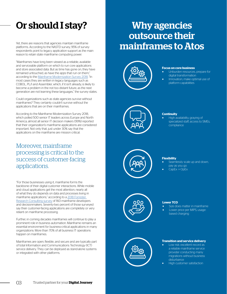## Or should I stay?

Yet, there are reasons that agencies maintain mainframe platforms. According to the NASTD survey, 95% of survey respondents point to legacy application support as the main reason to retain state mainframe computing power.

"Mainframes have long been viewed as a reliable, available and serviceable platform on which to run core applications and store associated data. But as time has gone on, they have remained untouched, as have the apps that run on them," according to the [Mainframe Modernization Survey 2018.](http://info.lzlabs.com/lzlabs-microsoft-mainframe-modernization-survey-2018) "In most cases they are written in legacy languages such as COBOL, PL/I and Assembler, which, if it isn't already, is likely to become a problem in the not too distant future, as the next generation are not learning these languages," the survey states.

Could organizations such as state agencies survive without mainframes? They certainly couldn't survive without the applications that are on their mainframes.

According to the Mainframe Modernization Survey 2018, which polled 500 senior IT leaders across Europe and North America, almost all senior IT decision makers (99%) reported that their organization's mainframe applications are considered important. Not only that, just under 30% say that the applications on the mainframe are mission critical.

#### Moreover, mainframe processing is critical to the success of customer-facing applications.

"For those businesses using it, mainframe forms the backbone of their digital customer interactions. While mobile and cloud applications get the most attention, nearly all of what they do depends on data and processes living in mainframe applications," according to a [2018 Forrester](https://resources.compuware.com/hubfs/Collateral/White_Papers/Forrester%20KPI%20study%203.21.18.pdf?utm_campaign=FY18Q4_AR_Forrester_Study&utm_source=ebook&utm_medium=9steps)  [Research Consulting survey](https://resources.compuware.com/hubfs/Collateral/White_Papers/Forrester%20KPI%20study%203.21.18.pdf?utm_campaign=FY18Q4_AR_Forrester_Study&utm_source=ebook&utm_medium=9steps) of 160 mainframe developers and decisionmakers. Seventy-two percent of those surveyed say their customer-facing applications are completely or very reliant on mainframe processing.

Further, in coming decades mainframes will continue to play a prominent role in business automation. Mainframe remains an essential environment for business-critical applications in many organizations: More than 70% of all business IT operations happen on mainframes.

Mainframes are open, flexible, and secure and are typically part of total Information and Communications Technology (ICT) service delivery. They can be deployed as stand-alone systems or integrated with other platforms.

### Why agencies outsource their mainframes to Atos



#### **Focus on core business**

- Unburden resources, prepare for digital transformation
- Innovation, make optimal use of platform capabilities



#### **Continuity**

• High availability, graying of specialized staff, access to SMEs, compliance



#### **Flexibility**

- Seamlessly scale up and down, pay as you go
- CapEx -> OpEx



#### **Lower TCO**

- Size does matter in mainframe
- Lower price per MIPS, usagebased charging



#### **Transition and service delivery**

- Low risk: excellent record as a reliable mainframe service provider conducting many migrations without business disturbance
- High customer satisfaction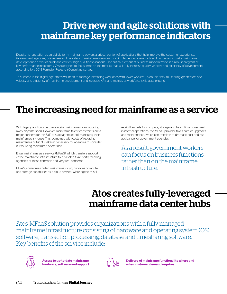### Drive new and agile solutions with mainframe key performance indicators

Despite its reputation as an old platform, mainframe powers a critical portion of applications that help improve the customer experience. Government agencies, businesses and providers of mainframe services must implement modern tools and processes to make mainframe development a driver of quick and efficient high-quality applications. One critical element of business modernization is a robust program of key performance indicators (KPIs) designed to focus firms on the metrics that will truly increase quality, velocity, and efficiency of development, according to a [2018 Forrester Research Consulting survey](https://resources.compuware.com/hubfs/Collateral/White_Papers/Forrester%20KPI%20study%203.21.18.pdf?utm_campaign=FY18Q4_AR_Forrester_Study&utm_source=ebook&utm_medium=9steps).

To succeed in the digital age, states will need to manage increasing workloads with fewer workers. To do this, they must bring greater focus to velocity and efficiency of mainframe development and leverage KPIs and metrics as workforce skills gaps expand.

### The increasing need for mainframe as a service

With legacy applications to maintain, mainframes are not going away anytime soon. However, mainframe talent constraints are a major concern for the 53% of state agencies still managing their mainframes in-house. This, combined with costs of replacing mainframes outright makes it necessary for agencies to consider outsourcing mainframe operations.

Enter mainframe as a service (MFaaS), which transfers support of the mainframe infrastructure to a capable third party, relieving agencies of these common and very real concerns.

MFaaS, sometimes called mainframe cloud, provides compute and storage capabilities as a cloud service. While agencies still

retain the costs for compute, storage and batch time consumed in normal operations, the MFaaS provider takes care of upgrades and maintenance, which can translate to dramatic cost and risk avoidance for government agencies.

As a result, government workers can focus on business functions rather than on the mainframe infrastructure.

#### Atos creates fully-leveraged mainframe data center hubs

Atos' MFaaS solution provides organizations with a fully managed mainframe infrastructure consisting of hardware and operating system (OS) software, transaction processing, database and timesharing software. Key benefits of the service include:



**Access to up-to-date mainframe hardware, software and support**



**Delivery of mainframe functionality where and when customer demand requires**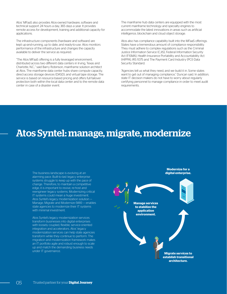Atos' MFaaS also provides Atos-owned hardware, software and technical support 24 hours a day, 365 days a year. It provides remote access for development, training and additional capacity for applications.

The infrastructure components (hardware and software) are kept up-and-running, up to date, and ready-to-use. Atos monitors performance of the infrastructure and changes the capacity available to deliver the service as required.

"The Atos MFaaS offering is a fully leveraged environment, distributed across two different data centers in Irving, Texas and Charlotte, N.C.," said Barry Robinson, mainframe solution architect at Atos. The mainframe data center hubs share compute capacity, direct-access storage devices (DASD), and virtual tape storage. The service is based on resource-based pricing and offers full failover protection both within the local data center and to the remote data center in case of a disaster event.

The mainframe hub data centers are equipped with the most current mainframe technology and specialty engines to accommodate the latest innovations in areas such as artificial intelligence, blockchain and cloud object storage.

Atos also has compliance capability built into the MFaaS offerings. States have a tremendous amount of compliance responsibility. They must adhere to complex regulations such as the Criminal Justice Information Service (CJIS), Federal Information Security Act (FISMA), Health Insurance Portability and Accountability Act (HIPPA), IRS 1075 and The Payment Card Industry (PCI) Data Security Standard.

"Agencies tell us what they need, and we build it in. Some states want to get out of managing compliance," Duncan said. In addition, state IT decision makers do not have to worry about regularly certifying personnel to manage compliance in order to meet audit requirements.

#### Atos Syntel: manage, migrate, modernize

The business landscape is evolving at an **digital enterprise.** alarming pace. Built-to-last legacy enterprise systems struggle to keep up with the pace of change. Therefore, to maintain a competitive edge, it is important to revive, re-host and reengineer legacy systems. Modernizing critical IT systems could mean a huge investment. Atos Syntel's legacy modernization solution — Manage, Migrate and Modernize (MIII) — enables state agencies to modernize their IT systems with minimal investment.

Atos Syntel's legacy modernization services transform businesses into digital enterprises with loosely coupled, flexible, service-oriented integration and accelerators. Atos' legacy modernization services can help state agencies transform while they continue to perform. The migration and modernization framework makes an IT portfolio agile and robust enough to scale up and match the demanding business needs under IT governance.

**Modernize for a** 

**Manage services to stabilize the application environment.**

> **Migrate services to establish transitional architecture.**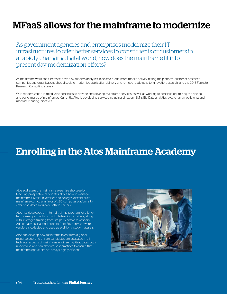### MFaaS allows for the mainframe to modernize

As government agencies and enterprises modernize their IT infrastructures to offer better services to constituents or customers in a rapidly changing digital world, how does the mainframe fit into present day modernization efforts?

As mainframe workloads increase, driven by modern analytics, blockchain, and more mobile activity hitting the platform, customer-obsessed companies and organizations should seek to modernize application delivery and remove roadblocks to innovation, according to the 2018 Forrester Research Consulting survey.

With modernization in mind, Atos continues to provide and develop mainframe services, as well as working to continue optimizing the pricing and performance of mainframes. Currently, Atos is developing services including Linux on IBM z, Big Data analytics, blockchain, mobile on z and machine learning initiatives.

#### Enrolling in the Atos Mainframe Academy

Atos addresses the mainframe expertise shortage by teaching prospective candidates about how to manage mainframes. Most universities and colleges discontinued mainframe curricula in favor of x86 computer platforms to offer candidates a quicker path to careers.

Atos has developed an internal training program for a longterm career path utilizing multiple training providers, along with leveraged training from 3rd party software vendors. Additionally, educational content from 3rd party software vendors is collected and used as additional study materials.

Atos can develop new mainframe talent from a global resource pool and ensure candidates are educated in all technical aspects of mainframe engineering. Graduates both understand and can observe best practices to ensure that mainframe operations are always highly efficient.

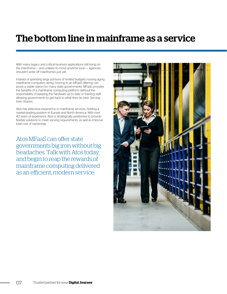### The bottom line in mainframe as a service

With many legacy and critical business applications still living on the mainframe — and unlikely to move anytime soon — agencies shouldn't write off mainframes just yet.

Instead of spending large portions of limited budgets nursing aging mainframe computers along, moving to an MFaaS offering can prove a viable option for many state governments. MFaaS provides the benefits of a mainframe computing platform without the responsibility of keeping the hardware up to date or training staff, allowing governments to get back to what they do best: Serving their citizens.

Atos has extensive experience in mainframe services, holding a market-leading position in Europe and North America. With over 40 years of experience, Atos is strategically positioned to provide flexible solutions to meet varying requirements, as well as improve total cost of ownership.

Atos MFaaS can offer state governments big iron without big headaches. Talk with Atos today, and begin to reap the rewards of mainframe computing delivered as an efficient, modern service.

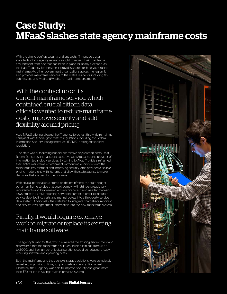### Case Study: MFaaS slashes state agency mainframe costs

With the aim to beef up security and cut costs, IT managers at a state technology agency recently sought to refresh their mainframe environment from one that had been in place for nearly a decade. As the lead IT agency for the state, it provides shared tech services (using mainframes) to other government organizations across the region. It also provides mainframe services to the state's residents, including tax submissions and Medicaid/Medicare health reimbursements.

With the contract up on its current mainframe service, which contained crucial citizen data, officials wanted to reduce mainframe costs, improve security and add flexibility around pricing.

Atos' MFaaS offering allowed the IT agency to do just this while remaining compliant with federal government regulations, including the Federal Information Security Management Act (FISMA), a stringent security regulation.

"The state was outsourcing but did not receive any relief on costs," said Robert Duncan, senior account executive with Atos, a leading provider of information technology services. By turning to Atos, IT officials refreshed their entire mainframe environment, introducing encryption into the mainframe environment and improving security. Atos provided a flexible pricing model along with features that allow the state agency to make decisions that are best for the business.

With crucial personal data stored on the mainframe, the state sought out a mainframe service that could comply with stringent regulatory requirements and be delivered entirely onshore. It also needed to design a system with its multi-sourcing service integrator in order to integrate service desk tooling, alerts and manual tickets into a third-party service desk system. Additionally, the state had to integrate chargeback reporting and service-level agreement information into the new mainframe system.

#### Finally, it would require extensive work to migrate or replace its existing mainframe software.

The agency turned to Atos, which evaluated the existing environment and determined that the mainframe's MIPS could be cut in half, from 4,000 to 2,000, and the number of logical partitions could be reduced, greatly reducing software and operating costs.

Both the mainframe and the agency's storage solutions were completely refreshed, improving uptime, support costs and encryption at rest. Ultimately, the IT agency was able to improve security and glean more than \$70 million in savings over its previous system.